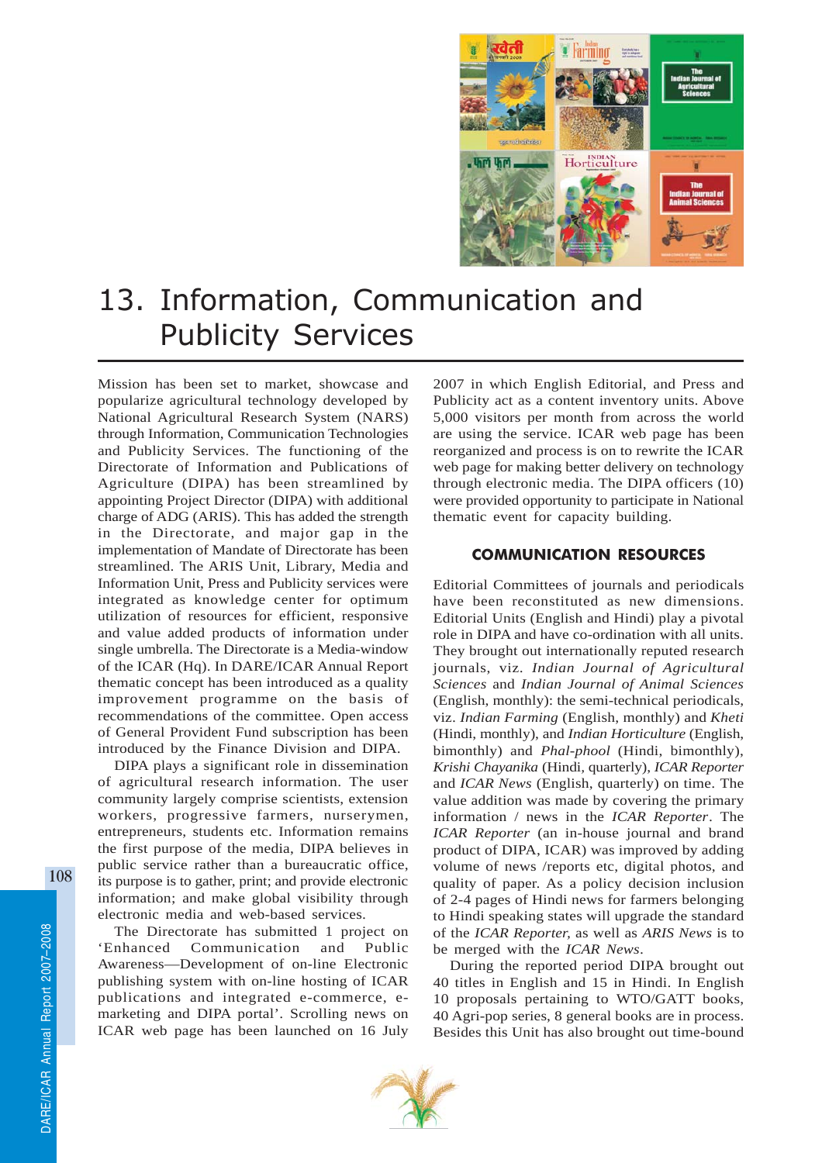

## 13. Information, Communication and Publicity Services

Mission has been set to market, showcase and popularize agricultural technology developed by National Agricultural Research System (NARS) through Information, Communication Technologies and Publicity Services. The functioning of the Directorate of Information and Publications of Agriculture (DIPA) has been streamlined by appointing Project Director (DIPA) with additional charge of ADG (ARIS). This has added the strength in the Directorate, and major gap in the implementation of Mandate of Directorate has been streamlined. The ARIS Unit, Library, Media and Information Unit, Press and Publicity services were integrated as knowledge center for optimum utilization of resources for efficient, responsive and value added products of information under single umbrella. The Directorate is a Media-window of the ICAR (Hq). In DARE/ICAR Annual Report thematic concept has been introduced as a quality improvement programme on the basis of recommendations of the committee. Open access of General Provident Fund subscription has been introduced by the Finance Division and DIPA.

DIPA plays a significant role in dissemination of agricultural research information. The user community largely comprise scientists, extension workers, progressive farmers, nurserymen, entrepreneurs, students etc. Information remains the first purpose of the media, DIPA believes in public service rather than a bureaucratic office, its purpose is to gather, print; and provide electronic information; and make global visibility through electronic media and web-based services.

The Directorate has submitted 1 project on 'Enhanced Communication and Public Awareness—Development of on-line Electronic publishing system with on-line hosting of ICAR publications and integrated e-commerce, emarketing and DIPA portal'. Scrolling news on ICAR web page has been launched on 16 July

2007 in which English Editorial, and Press and Publicity act as a content inventory units. Above 5,000 visitors per month from across the world are using the service. ICAR web page has been reorganized and process is on to rewrite the ICAR web page for making better delivery on technology through electronic media. The DIPA officers (10) were provided opportunity to participate in National thematic event for capacity building.

## COMMUNICATION RESOURCES

Editorial Committees of journals and periodicals have been reconstituted as new dimensions. Editorial Units (English and Hindi) play a pivotal role in DIPA and have co-ordination with all units. They brought out internationally reputed research journals, viz. *Indian Journal of Agricultural Sciences* and *Indian Journal of Animal Sciences* (English, monthly): the semi-technical periodicals, viz. *Indian Farming* (English, monthly) and *Kheti* (Hindi, monthly), and *Indian Horticulture* (English, bimonthly) and *Phal-phool* (Hindi, bimonthly), *Krishi Chayanika* (Hindi*,* quarterly), *ICAR Reporter* and *ICAR News* (English, quarterly) on time. The value addition was made by covering the primary information / news in the *ICAR Reporter*. The *ICAR Reporter* (an in-house journal and brand product of DIPA, ICAR) was improved by adding volume of news /reports etc, digital photos, and quality of paper. As a policy decision inclusion of 2-4 pages of Hindi news for farmers belonging to Hindi speaking states will upgrade the standard of the *ICAR Reporter,* as well as *ARIS News* is to be merged with the *ICAR News*.

During the reported period DIPA brought out 40 titles in English and 15 in Hindi. In English 10 proposals pertaining to WTO/GATT books, 40 Agri-pop series, 8 general books are in process. Besides this Unit has also brought out time-bound

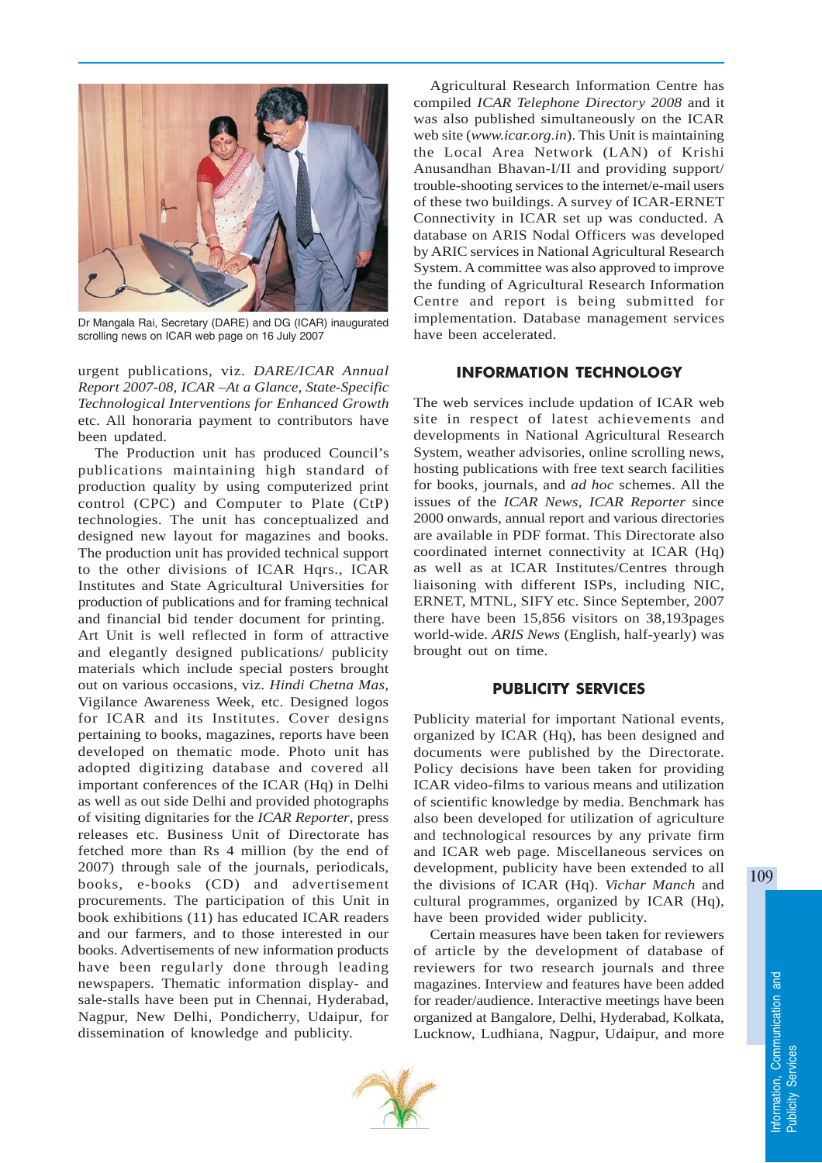

Dr Mangala Rai, Secretary (DARE) and DG (ICAR) inaugurated scrolling news on ICAR web page on 16 July 2007

urgent publications, viz. *DARE/ICAR Annual Report 2007-08, ICAR –At a Glance*, *State*-*Specific Technological Interventions for Enhanced Growth* etc. All honoraria payment to contributors have been updated.

The Production unit has produced Council's publications maintaining high standard of production quality by using computerized print control (CPC) and Computer to Plate (CtP) technologies. The unit has conceptualized and designed new layout for magazines and books. The production unit has provided technical support to the other divisions of ICAR Hqrs., ICAR Institutes and State Agricultural Universities for production of publications and for framing technical and financial bid tender document for printing.

Art Unit is well reflected in form of attractive and elegantly designed publications/ publicity materials which include special posters brought out on various occasions, viz. *Hindi Chetna Mas,* Vigilance Awareness Week, etc. Designed logos for ICAR and its Institutes. Cover designs pertaining to books, magazines, reports have been developed on thematic mode. Photo unit has adopted digitizing database and covered all important conferences of the ICAR (Hq) in Delhi as well as out side Delhi and provided photographs of visiting dignitaries for the *ICAR Reporter*, press releases etc. Business Unit of Directorate has fetched more than Rs 4 million (by the end of 2007) through sale of the journals, periodicals, books, e-books (CD) and advertisement procurements. The participation of this Unit in book exhibitions (11) has educated ICAR readers and our farmers, and to those interested in our books. Advertisements of new information products have been regularly done through leading newspapers. Thematic information display- and sale-stalls have been put in Chennai, Hyderabad, Nagpur, New Delhi, Pondicherry, Udaipur, for dissemination of knowledge and publicity.

Agricultural Research Information Centre has compiled *ICAR Telephone Directory 2008* and it was also published simultaneously on the ICAR web site (*www.icar.org.in*). This Unit is maintaining the Local Area Network (LAN) of Krishi Anusandhan Bhavan-I/II and providing support/ trouble-shooting services to the internet/e-mail users of these two buildings. A survey of ICAR-ERNET Connectivity in ICAR set up was conducted. A database on ARIS Nodal Officers was developed by ARIC services in National Agricultural Research System. A committee was also approved to improve the funding of Agricultural Research Information Centre and report is being submitted for implementation. Database management services have been accelerated.

## INFORMATION TECHNOLOGY

The web services include updation of ICAR web site in respect of latest achievements and developments in National Agricultural Research System, weather advisories, online scrolling news, hosting publications with free text search facilities for books, journals, and *ad hoc* schemes. All the issues of the *ICAR News*, *ICAR Reporter* since 2000 onwards, annual report and various directories are available in PDF format. This Directorate also coordinated internet connectivity at ICAR (Hq) as well as at ICAR Institutes/Centres through liaisoning with different ISPs, including NIC, ERNET, MTNL, SIFY etc. Since September, 2007 there have been 15,856 visitors on 38,193pages world-wide. *ARIS News* (English, half-yearly) was brought out on time.

## PUBLICITY SERVICES

Publicity material for important National events, organized by ICAR (Hq), has been designed and documents were published by the Directorate. Policy decisions have been taken for providing ICAR video-films to various means and utilization of scientific knowledge by media. Benchmark has also been developed for utilization of agriculture and technological resources by any private firm and ICAR web page. Miscellaneous services on development, publicity have been extended to all the divisions of ICAR (Hq). *Vichar Manch* and cultural programmes, organized by ICAR (Hq), have been provided wider publicity.

Certain measures have been taken for reviewers of article by the development of database of reviewers for two research journals and three magazines. Interview and features have been added for reader/audience. Interactive meetings have been organized at Bangalore, Delhi, Hyderabad, Kolkata, Lucknow, Ludhiana, Nagpur, Udaipur, and more